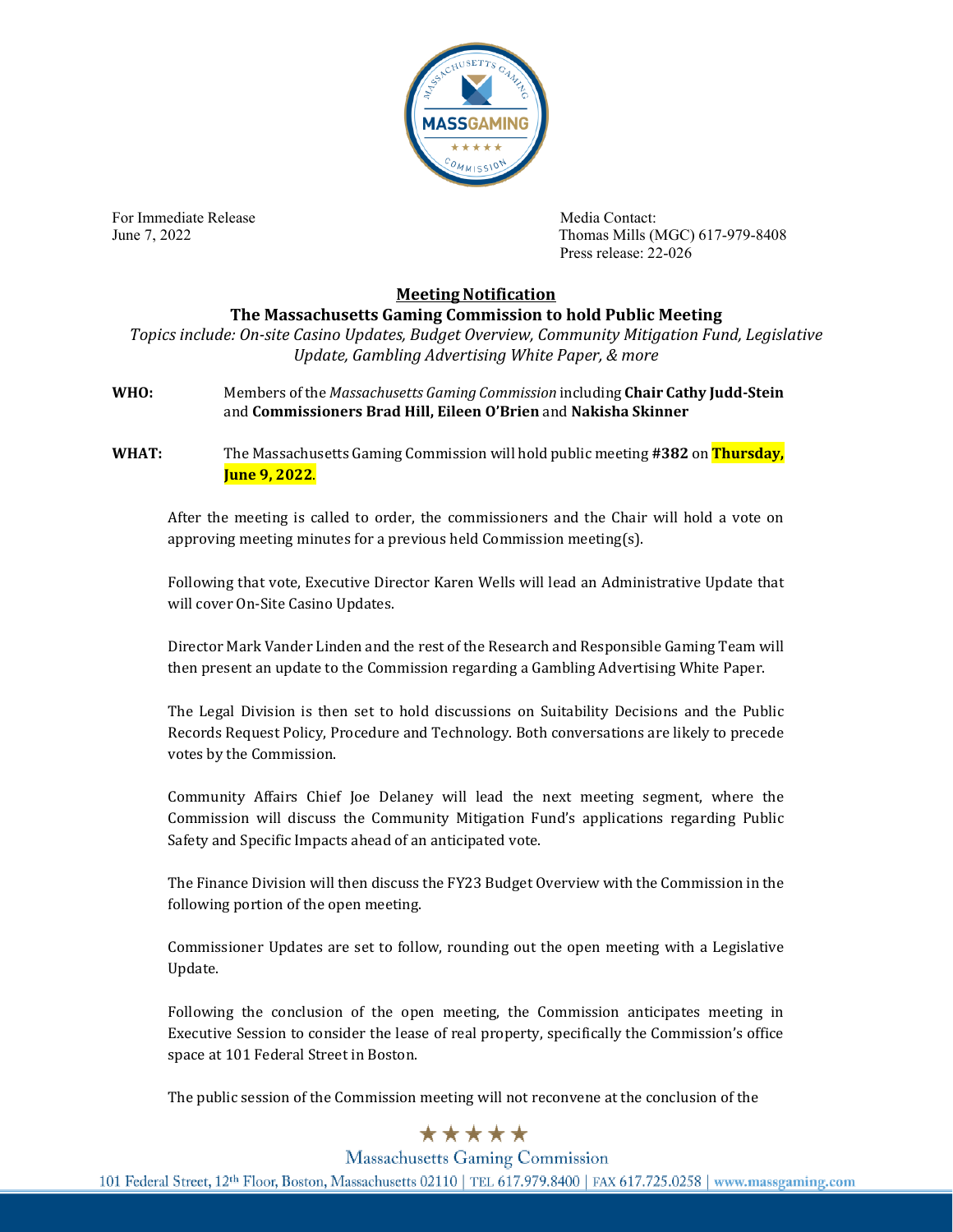

For Immediate Release **Media Contact:** Media Contact:

June 7, 2022 Thomas Mills (MGC) 617-979-8408 Press release: 22-026

## **Meeting Notification**

## **The Massachusetts Gaming Commission to hold Public Meeting**

*Topics include: On-site Casino Updates, Budget Overview, Community Mitigation Fund, Legislative Update, Gambling Advertising White Paper, & more*

**WHO:** Members of the *Massachusetts Gaming Commission* including **Chair Cathy Judd-Stein** and **Commissioners Brad Hill, Eileen O'Brien** and **Nakisha Skinner**

**WHAT:** The Massachusetts Gaming Commission will hold public meeting **#382** on **Thursday, June 9, 2022**.

After the meeting is called to order, the commissioners and the Chair will hold a vote on approving meeting minutes for a previous held Commission meeting(s).

Following that vote, Executive Director Karen Wells will lead an Administrative Update that will cover On-Site Casino Updates.

Director Mark Vander Linden and the rest of the Research and Responsible Gaming Team will then present an update to the Commission regarding a Gambling Advertising White Paper.

The Legal Division is then set to hold discussions on Suitability Decisions and the Public Records Request Policy, Procedure and Technology. Both conversations are likely to precede votes by the Commission.

Community Affairs Chief Joe Delaney will lead the next meeting segment, where the Commission will discuss the Community Mitigation Fund's applications regarding Public Safety and Specific Impacts ahead of an anticipated vote.

The Finance Division will then discuss the FY23 Budget Overview with the Commission in the following portion of the open meeting.

Commissioner Updates are set to follow, rounding out the open meeting with a Legislative Update.

Following the conclusion of the open meeting, the Commission anticipates meeting in Executive Session to consider the lease of real property, specifically the Commission's office space at 101 Federal Street in Boston.

The public session of the Commission meeting will not reconvene at the conclusion of the

## \*\*\*\*\*

**Massachusetts Gaming Commission** 101 Federal Street, 12th Floor, Boston, Massachusetts 02110 | TEL 617.979.8400 | FAX 617.725.0258 | www.massgaming.com